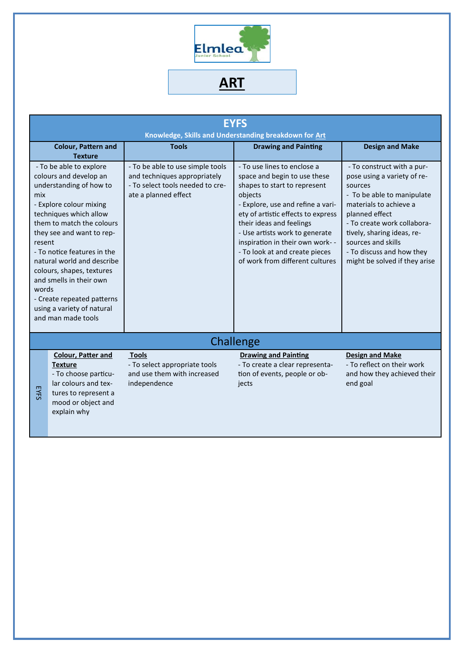

**ART**

| <b>EYFS</b><br>Knowledge, Skills and Understanding breakdown for Art                                                                                                                                                                                                                                                                                                                                                         |                                                                                                                                                          |                                                                                                                              |                                                                                                                                                                                                                                                                                                                                                          |                                                                                                                                                                                                                                                                                                 |  |  |  |
|------------------------------------------------------------------------------------------------------------------------------------------------------------------------------------------------------------------------------------------------------------------------------------------------------------------------------------------------------------------------------------------------------------------------------|----------------------------------------------------------------------------------------------------------------------------------------------------------|------------------------------------------------------------------------------------------------------------------------------|----------------------------------------------------------------------------------------------------------------------------------------------------------------------------------------------------------------------------------------------------------------------------------------------------------------------------------------------------------|-------------------------------------------------------------------------------------------------------------------------------------------------------------------------------------------------------------------------------------------------------------------------------------------------|--|--|--|
|                                                                                                                                                                                                                                                                                                                                                                                                                              | Colour, Pattern and<br><b>Texture</b>                                                                                                                    | <b>Tools</b>                                                                                                                 | <b>Drawing and Painting</b>                                                                                                                                                                                                                                                                                                                              | <b>Design and Make</b>                                                                                                                                                                                                                                                                          |  |  |  |
| - To be able to explore<br>colours and develop an<br>understanding of how to<br>mix<br>- Explore colour mixing<br>techniques which allow<br>them to match the colours<br>they see and want to rep-<br>resent<br>- To notice features in the<br>natural world and describe<br>colours, shapes, textures<br>and smells in their own<br>words<br>- Create repeated patterns<br>using a variety of natural<br>and man made tools |                                                                                                                                                          | - To be able to use simple tools<br>and techniques appropriately<br>- To select tools needed to cre-<br>ate a planned effect | - To use lines to enclose a<br>space and begin to use these<br>shapes to start to represent<br>objects<br>- Explore, use and refine a vari-<br>ety of artistic effects to express<br>their ideas and feelings<br>- Use artists work to generate<br>inspiration in their own work- -<br>- To look at and create pieces<br>of work from different cultures | - To construct with a pur-<br>pose using a variety of re-<br>sources<br>- To be able to manipulate<br>materials to achieve a<br>planned effect<br>- To create work collabora-<br>tively, sharing ideas, re-<br>sources and skills<br>- To discuss and how they<br>might be solved if they arise |  |  |  |
|                                                                                                                                                                                                                                                                                                                                                                                                                              |                                                                                                                                                          |                                                                                                                              | Challenge                                                                                                                                                                                                                                                                                                                                                |                                                                                                                                                                                                                                                                                                 |  |  |  |
| <b>EYFS</b>                                                                                                                                                                                                                                                                                                                                                                                                                  | <b>Colour, Patter and</b><br><b>Texture</b><br>- To choose particu-<br>lar colours and tex-<br>tures to represent a<br>mood or object and<br>explain why | <b>Tools</b><br>- To select appropriate tools<br>and use them with increased<br>independence                                 | <b>Drawing and Painting</b><br>- To create a clear representa-<br>tion of events, people or ob-<br>jects                                                                                                                                                                                                                                                 | <b>Design and Make</b><br>- To reflect on their work<br>and how they achieved their<br>end goal                                                                                                                                                                                                 |  |  |  |
|                                                                                                                                                                                                                                                                                                                                                                                                                              |                                                                                                                                                          |                                                                                                                              |                                                                                                                                                                                                                                                                                                                                                          |                                                                                                                                                                                                                                                                                                 |  |  |  |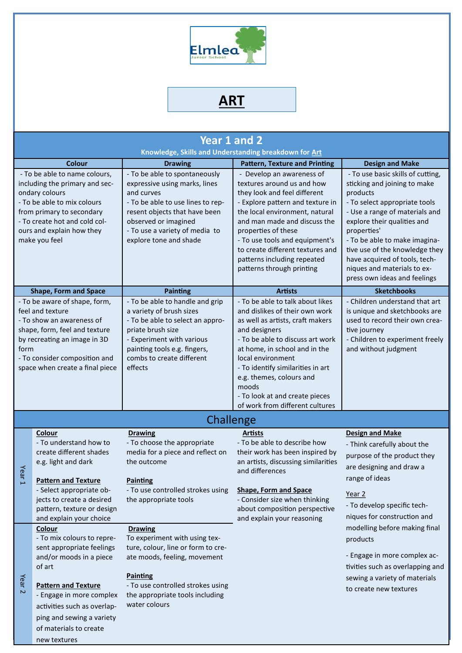

## **ART**

| Year 1 and 2<br>Knowledge, Skills and Understanding breakdown for Art                                                                                                                                                        |                                                                                                                                                                                                   |                                                                                                                                                                                                                                        |                                                                                                                                                                                                                                                                                                                                                                  |                                                                                                                                                                                                                                                                                                                                                                   |  |  |  |
|------------------------------------------------------------------------------------------------------------------------------------------------------------------------------------------------------------------------------|---------------------------------------------------------------------------------------------------------------------------------------------------------------------------------------------------|----------------------------------------------------------------------------------------------------------------------------------------------------------------------------------------------------------------------------------------|------------------------------------------------------------------------------------------------------------------------------------------------------------------------------------------------------------------------------------------------------------------------------------------------------------------------------------------------------------------|-------------------------------------------------------------------------------------------------------------------------------------------------------------------------------------------------------------------------------------------------------------------------------------------------------------------------------------------------------------------|--|--|--|
|                                                                                                                                                                                                                              | <b>Colour</b>                                                                                                                                                                                     | <b>Drawing</b>                                                                                                                                                                                                                         | <b>Pattern, Texture and Printing</b>                                                                                                                                                                                                                                                                                                                             | <b>Design and Make</b>                                                                                                                                                                                                                                                                                                                                            |  |  |  |
| - To be able to name colours,<br>including the primary and sec-<br>ondary colours<br>- To be able to mix colours<br>from primary to secondary<br>- To create hot and cold col-<br>ours and explain how they<br>make you feel |                                                                                                                                                                                                   | - To be able to spontaneously<br>expressive using marks, lines<br>and curves<br>- To be able to use lines to rep-<br>resent objects that have been<br>observed or imagined<br>- To use a variety of media to<br>explore tone and shade | - Develop an awareness of<br>textures around us and how<br>they look and feel different<br>- Explore pattern and texture in<br>the local environment, natural<br>and man made and discuss the<br>properties of these<br>- To use tools and equipment's<br>to create different textures and<br>patterns including repeated<br>patterns through printing           | - To use basic skills of cutting,<br>sticking and joining to make<br>products<br>- To select appropriate tools<br>- Use a range of materials and<br>explore their qualities and<br>properties'<br>- To be able to make imagina-<br>tive use of the knowledge they<br>have acquired of tools, tech-<br>niques and materials to ex-<br>press own ideas and feelings |  |  |  |
|                                                                                                                                                                                                                              | <b>Shape, Form and Space</b>                                                                                                                                                                      | <b>Painting</b>                                                                                                                                                                                                                        | <b>Artists</b>                                                                                                                                                                                                                                                                                                                                                   | <b>Sketchbooks</b>                                                                                                                                                                                                                                                                                                                                                |  |  |  |
| - To be aware of shape, form,<br>feel and texture<br>- To show an awareness of<br>shape, form, feel and texture<br>by recreating an image in 3D<br>form<br>- To consider composition and<br>space when create a final piece  |                                                                                                                                                                                                   | - To be able to handle and grip<br>a variety of brush sizes<br>- To be able to select an appro-<br>priate brush size<br>- Experiment with various<br>painting tools e.g. fingers,<br>combs to create different<br>effects              | - To be able to talk about likes<br>and dislikes of their own work<br>as well as artists, craft makers<br>and designers<br>- To be able to discuss art work<br>at home, in school and in the<br>local environment<br>- To identify similarities in art<br>e.g. themes, colours and<br>moods<br>- To look at and create pieces<br>of work from different cultures | - Children understand that art<br>is unique and sketchbooks are<br>used to record their own crea-<br>tive journey<br>- Children to experiment freely<br>and without judgment                                                                                                                                                                                      |  |  |  |
|                                                                                                                                                                                                                              |                                                                                                                                                                                                   | Challenge                                                                                                                                                                                                                              |                                                                                                                                                                                                                                                                                                                                                                  |                                                                                                                                                                                                                                                                                                                                                                   |  |  |  |
| Yea<br>$\bar{L}$                                                                                                                                                                                                             | Colour<br>- To understand how to<br>create different shades<br>e.g. light and dark<br><b>Pattern and Texture</b>                                                                                  | <b>Drawing</b><br>- To choose the appropriate<br>media for a piece and reflect on<br>the outcome<br><b>Painting</b>                                                                                                                    | <b>Artists</b><br>- To be able to describe how<br>their work has been inspired by<br>an artists, discussing similarities<br>and differences<br><b>Shape, Form and Space</b><br>- Consider size when thinking<br>about composition perspective<br>and explain your reasoning                                                                                      | <b>Design and Make</b><br>- Think carefully about the<br>purpose of the product they<br>are designing and draw a<br>range of ideas                                                                                                                                                                                                                                |  |  |  |
|                                                                                                                                                                                                                              | - Select appropriate ob-<br>jects to create a desired<br>pattern, texture or design<br>and explain your choice                                                                                    | - To use controlled strokes using<br>the appropriate tools                                                                                                                                                                             |                                                                                                                                                                                                                                                                                                                                                                  | Year 2<br>- To develop specific tech-<br>niques for construction and                                                                                                                                                                                                                                                                                              |  |  |  |
| Year <sub>2</sub>                                                                                                                                                                                                            | Colour<br>- To mix colours to repre-<br>sent appropriate feelings                                                                                                                                 | <b>Drawing</b><br>To experiment with using tex-<br>ture, colour, line or form to cre-                                                                                                                                                  |                                                                                                                                                                                                                                                                                                                                                                  | modelling before making final<br>products                                                                                                                                                                                                                                                                                                                         |  |  |  |
|                                                                                                                                                                                                                              | and/or moods in a piece<br>of art<br><b>Pattern and Texture</b><br>- Engage in more complex<br>activities such as overlap-<br>ping and sewing a variety<br>of materials to create<br>new textures | ate moods, feeling, movement<br><b>Painting</b><br>- To use controlled strokes using<br>the appropriate tools including<br>water colours                                                                                               |                                                                                                                                                                                                                                                                                                                                                                  | - Engage in more complex ac-<br>tivities such as overlapping and<br>sewing a variety of materials<br>to create new textures                                                                                                                                                                                                                                       |  |  |  |